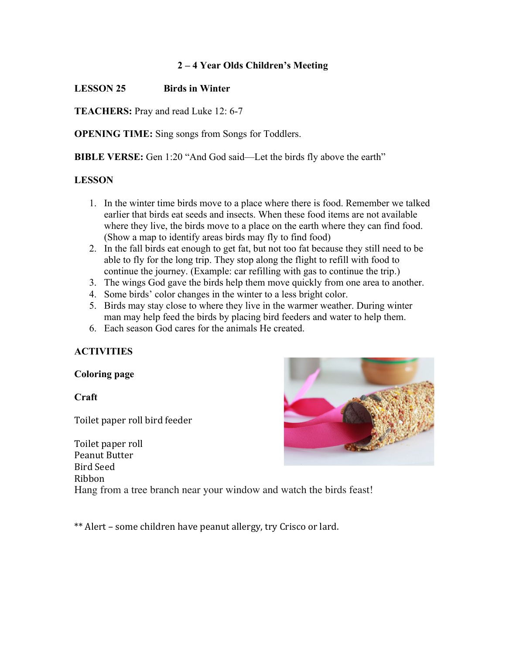### **2 – 4 Year Olds Children's Meeting**

## **LESSON 25 Birds in Winter**

**TEACHERS:** Pray and read Luke 12: 6-7

**OPENING TIME:** Sing songs from Songs for Toddlers.

**BIBLE VERSE:** Gen 1:20 "And God said—Let the birds fly above the earth"

### **LESSON**

- 1. In the winter time birds move to a place where there is food. Remember we talked earlier that birds eat seeds and insects. When these food items are not available where they live, the birds move to a place on the earth where they can find food. (Show a map to identify areas birds may fly to find food)
- 2. In the fall birds eat enough to get fat, but not too fat because they still need to be able to fly for the long trip. They stop along the flight to refill with food to continue the journey. (Example: car refilling with gas to continue the trip.)
- 3. The wings God gave the birds help them move quickly from one area to another.
- 4. Some birds' color changes in the winter to a less bright color.
- 5. Birds may stay close to where they live in the warmer weather. During winter man may help feed the birds by placing bird feeders and water to help them.
- 6. Each season God cares for the animals He created.

# **ACTIVITIES**

### **Coloring page**

### **Craft**

Toilet paper roll bird feeder

Toilet paper roll Peanut Butter Bird Seed Ribbon Hang from a tree branch near your window and watch the birds feast!

\*\* Alert – some children have peanut allergy, try Crisco or lard.